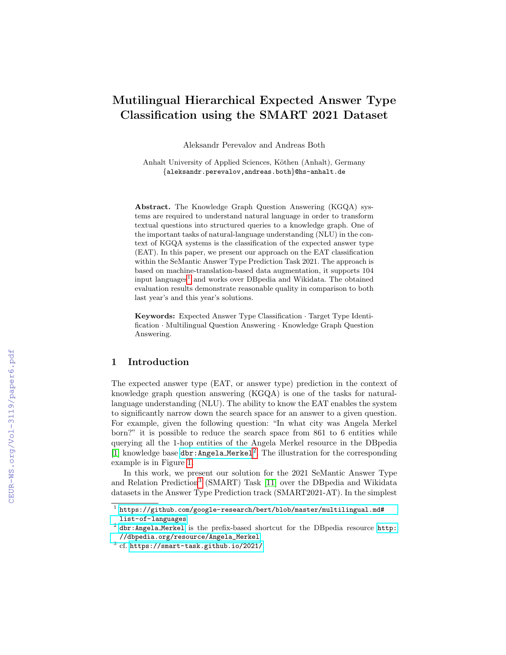# Mutilingual Hierarchical Expected Answer Type Classification using the SMART 2021 Dataset

Aleksandr Perevalov and Andreas Both

Anhalt University of Applied Sciences, Köthen (Anhalt), Germany {aleksandr.perevalov,andreas.both}@hs-anhalt.de

Abstract. The Knowledge Graph Question Answering (KGQA) systems are required to understand natural language in order to transform textual questions into structured queries to a knowledge graph. One of the important tasks of natural-language understanding (NLU) in the context of KGQA systems is the classification of the expected answer type (EAT). In this paper, we present our approach on the EAT classification within the SeMantic Answer Type Prediction Task 2021. The approach is based on machine-translation-based data augmentation, it supports 104 input languages<sup>[1](#page-0-0)</sup> and works over DBpedia and Wikidata. The obtained evaluation results demonstrate reasonable quality in comparison to both last year's and this year's solutions.

Keywords: Expected Answer Type Classification · Target Type Identification · Multilingual Question Answering · Knowledge Graph Question Answering.

## 1 Introduction

The expected answer type (EAT, or answer type) prediction in the context of knowledge graph question answering (KGQA) is one of the tasks for naturallanguage understanding (NLU). The ability to know the EAT enables the system to significantly narrow down the search space for an answer to a given question. For example, given the following question: "In what city was Angela Merkel born?" it is possible to reduce the search space from 861 to 6 entities while querying all the 1-hop entities of the Angela Merkel resource in the DBpedia [\[1\]](#page--1-0) knowledge base dbr: Angela\_Merkel<sup>[2](#page-0-1)</sup>. The illustration for the corresponding example is in Figure [1.](#page--1-1)

In this work, we present our solution for the 2021 SeMantic Answer Type and Relation Prediction[3](#page-0-2) (SMART) Task [\[11\]](#page--1-2) over the DBpedia and Wikidata datasets in the Answer Type Prediction track (SMART2021-AT). In the simplest

<span id="page-0-0"></span> $^{\rm 1}$  [https://github.com/google-research/bert/blob/master/multilingual.md#](https://github.com/google-research/bert/blob/master/multilingual.md#list-of-languages) [list-of-languages](https://github.com/google-research/bert/blob/master/multilingual.md#list-of-languages)

<span id="page-0-1"></span> $2$  [dbr:Angela](http://dbpedia.org/resource/Angela_Merkel)\_Merkel is the prefix-based shortcut for the DBpedia resource [http:](http://dbpedia.org/resource/Angela_Merkel) [//dbpedia.org/resource/Angela\\_Merkel](http://dbpedia.org/resource/Angela_Merkel)

<span id="page-0-2"></span> $3$  cf. <https://smart-task.github.io/2021/>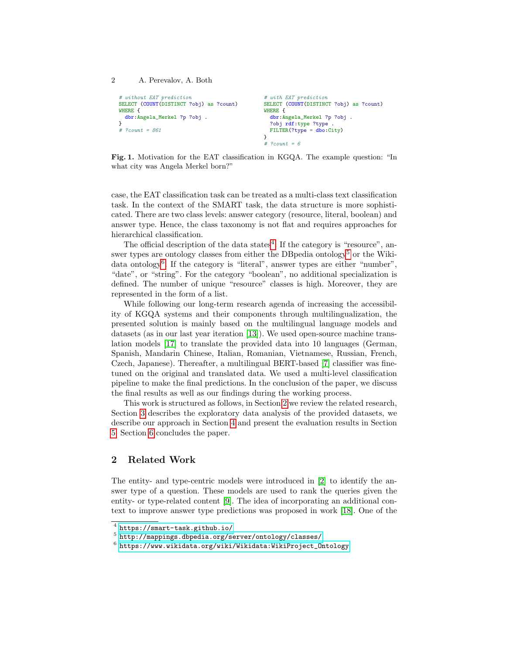2 A. Perevalov, A. Both

```
# without EAT prediction
SELECT (COUNT(DISTINCT ?obj) as ?count)
WHERE {
  dbr:Angela_Merkel ?p ?obj .
}
# ?count = 861
                                                 # with EAT prediction
                                                 SELECT (COUNT(DISTINCT ?obj) as ?count)
                                                 WHERE {
                                                   dbr:Angela_Merkel ?p ?obj .
                                                   ?obj rdf:type ?type .
                                                   FILTER(?type = dbo:City)
                                                 }
                                                 # ?count = 6
```
Fig. 1. Motivation for the EAT classification in KGQA. The example question: "In what city was Angela Merkel born?"

case, the EAT classification task can be treated as a multi-class text classification task. In the context of the SMART task, the data structure is more sophisticated. There are two class levels: answer category (resource, literal, boolean) and answer type. Hence, the class taxonomy is not flat and requires approaches for hierarchical classification.

The official description of the data states<sup>[4](#page-1-0)</sup>: If the category is "resource", an-swer types are ontology classes from either the DB pedia ontology<sup>[5](#page-1-1)</sup> or the Wiki-data ontology<sup>[6](#page-1-2)</sup>. If the category is "literal", answer types are either "number", "date", or "string". For the category "boolean", no additional specialization is defined. The number of unique "resource" classes is high. Moreover, they are represented in the form of a list.

While following our long-term research agenda of increasing the accessibility of KGQA systems and their components through multilingualization, the presented solution is mainly based on the multilingual language models and datasets (as in our last year iteration [\[13\]](#page-9-0)). We used open-source machine translation models [\[17\]](#page-9-1) to translate the provided data into 10 languages (German, Spanish, Mandarin Chinese, Italian, Romanian, Vietnamese, Russian, French, Czech, Japanese). Thereafter, a multilingual BERT-based [\[7\]](#page-8-0) classifier was finetuned on the original and translated data. We used a multi-level classification pipeline to make the final predictions. In the conclusion of the paper, we discuss the final results as well as our findings during the working process.

This work is structured as follows, in Section [2](#page-1-3) we review the related research, Section [3](#page-2-0) describes the exploratory data analysis of the provided datasets, we describe our approach in Section [4](#page-5-0) and present the evaluation results in Section [5.](#page-7-0) Section [6](#page-7-1) concludes the paper.

# <span id="page-1-3"></span>2 Related Work

The entity- and type-centric models were introduced in [\[2\]](#page-8-1) to identify the answer type of a question. These models are used to rank the queries given the entity- or type-related content [\[9\]](#page-9-2). The idea of incorporating an additional context to improve answer type predictions was proposed in work [\[18\]](#page-9-3). One of the

<span id="page-1-0"></span><sup>4</sup> <https://smart-task.github.io/>

<span id="page-1-1"></span> $^5$ <http://mappings.dbpedia.org/server/ontology/classes/>

<span id="page-1-2"></span> $^6$  [https://www.wikidata.org/wiki/Wikidata:WikiProject\\_Ontology](https://www.wikidata.org/wiki/Wikidata:WikiProject_Ontology)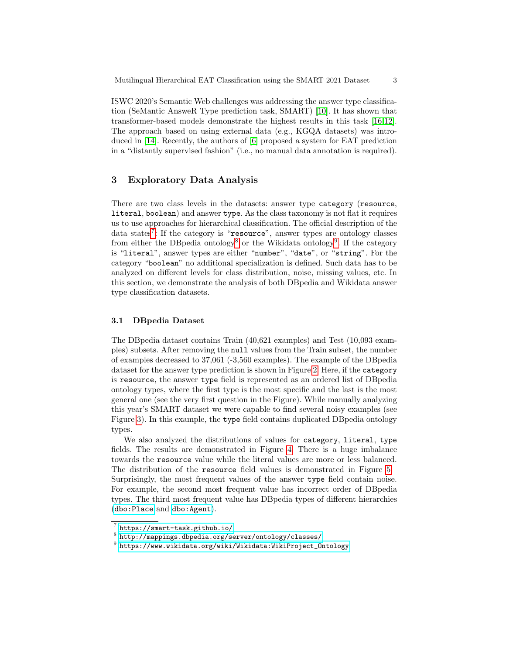ISWC 2020's Semantic Web challenges was addressing the answer type classification (SeMantic AnsweR Type prediction task, SMART) [\[10\]](#page-9-4). It has shown that transformer-based models demonstrate the highest results in this task [\[16,](#page-9-5)[12\]](#page-9-6). The approach based on using external data (e.g., KGQA datasets) was introduced in [\[14\]](#page-9-7). Recently, the authors of [\[6\]](#page-8-2) proposed a system for EAT prediction in a "distantly supervised fashion" (i.e., no manual data annotation is required).

## <span id="page-2-0"></span>3 Exploratory Data Analysis

There are two class levels in the datasets: answer type category (resource, literal, boolean) and answer type. As the class taxonomy is not flat it requires us to use approaches for hierarchical classification. The official description of the data states[7](#page-2-1) : If the category is "resource", answer types are ontology classes from either the DB pedia ontology<sup>[8](#page-2-2)</sup> or the Wikidata ontology<sup>[9](#page-2-3)</sup>. If the category is "literal", answer types are either "number", "date", or "string". For the category "boolean" no additional specialization is defined. Such data has to be analyzed on different levels for class distribution, noise, missing values, etc. In this section, we demonstrate the analysis of both DBpedia and Wikidata answer type classification datasets.

#### 3.1 DBpedia Dataset

The DBpedia dataset contains Train (40,621 examples) and Test (10,093 examples) subsets. After removing the null values from the Train subset, the number of examples decreased to 37,061 (-3,560 examples). The example of the DBpedia dataset for the answer type prediction is shown in Figure [2.](#page-3-0) Here, if the category is resource, the answer type field is represented as an ordered list of DBpedia ontology types, where the first type is the most specific and the last is the most general one (see the very first question in the Figure). While manually analyzing this year's SMART dataset we were capable to find several noisy examples (see Figure [3\)](#page-3-1). In this example, the type field contains duplicated DBpedia ontology types.

We also analyzed the distributions of values for category, literal, type fields. The results are demonstrated in Figure [4.](#page-3-2) There is a huge imbalance towards the resource value while the literal values are more or less balanced. The distribution of the resource field values is demonstrated in Figure [5.](#page-4-0) Surprisingly, the most frequent values of the answer type field contain noise. For example, the second most frequent value has incorrect order of DBpedia types. The third most frequent value has DBpedia types of different hierarchies ([dbo:Place](http://dbpedia.org/ontology/Place) and [dbo:Agent](http://dbpedia.org/ontology/Agent)).

<span id="page-2-1"></span><sup>7</sup> <https://smart-task.github.io/>

<span id="page-2-2"></span> $^8$ <http://mappings.dbpedia.org/server/ontology/classes/>

<span id="page-2-3"></span> $^9$  [https://www.wikidata.org/wiki/Wikidata:WikiProject\\_Ontology](https://www.wikidata.org/wiki/Wikidata:WikiProject_Ontology)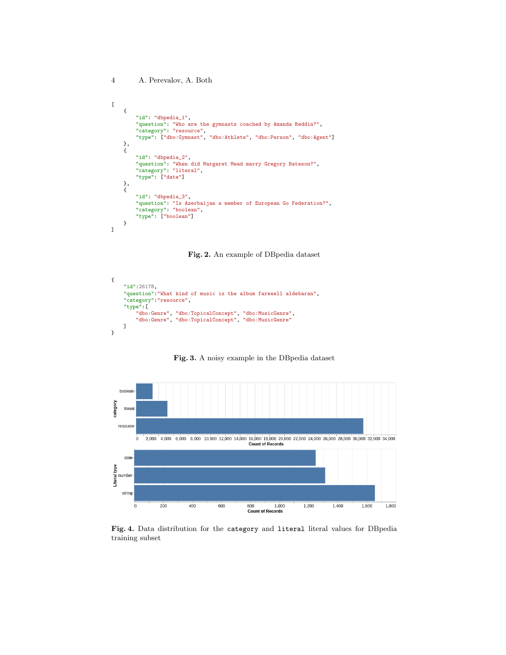```
\mathsf L{
          "id": "dbpedia_1",
          "question": "Who are the gymnasts coached by Amanda Reddin?",
          "category": "resource",
"type": ["dbo:Gymnast", "dbo:Athlete", "dbo:Person", "dbo:Agent"]
    },
    \mathbf{f}"id": "dbpedia_2",
          "question": "When did Margaret Mead marry Gregory Bateson?",
          "category": "literal",
"type": ["date"]
     },
{
          "id": "dbpedia_3",
          "question": "Is Azerbaijan a member of European Go Federation?",
"category": "boolean",
          "type": ["boolean"]
    }
\mathbf{I}
```
<span id="page-3-0"></span>Fig. 2. An example of DBpedia dataset

```
{
     "id":26178,
     "question":"What kind of music is the album farewell aldebaran",
     "category":"resource",
     "type":[
"dbo:Genre", "dbo:TopicalConcept", "dbo:MusicGenre",
"dbo:Genre", "dbo:TopicalConcept", "dbo:MusicGenre"
     ]
}
```
<span id="page-3-1"></span>Fig. 3. A noisy example in the DBpedia dataset



<span id="page-3-2"></span>Fig. 4. Data distribution for the category and literal literal values for DBpedia training subset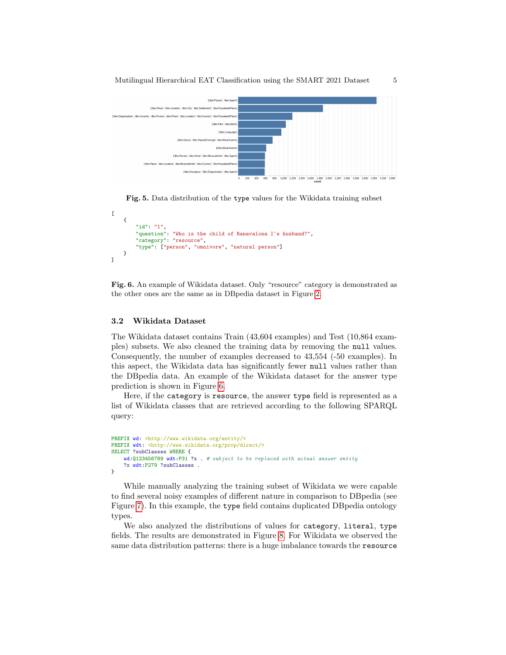

<span id="page-4-0"></span>

```
[
    {
        "id": "1",
        "question": "Who is the child of Ranavalona I's husband?",
        "category": "resource",
        "type": ["person", "omnivore", "natural person"]
    }
\mathbf{I}
```
<span id="page-4-1"></span>Fig. 6. An example of Wikidata dataset. Only "resource" category is demonstrated as the other ones are the same as in DBpedia dataset in Figure [2.](#page-3-0)

#### 3.2 Wikidata Dataset

The Wikidata dataset contains Train (43,604 examples) and Test (10,864 examples) subsets. We also cleaned the training data by removing the null values. Consequently, the number of examples decreased to 43,554 (-50 examples). In this aspect, the Wikidata data has significantly fewer null values rather than the DBpedia data. An example of the Wikidata dataset for the answer type prediction is shown in Figure [6.](#page-4-1)

Here, if the category is resource, the answer type field is represented as a list of Wikidata classes that are retrieved according to the following SPARQL query:

```
PREFIX wd: <http://www.wikidata.org/entity/>
PREFIX wdt: <http://www.wikidata.org/prop/direct/>
SELECT ?subClasses WHERE {
    wd:Q123456789 wdt:P31 ?x . # subject to be replaced with actual answer entity
    ?x wdt:P279 ?subClasses .
}
```
While manually analyzing the training subset of Wikidata we were capable to find several noisy examples of different nature in comparison to DBpedia (see Figure [7\)](#page-5-1). In this example, the type field contains duplicated DBpedia ontology types.

We also analyzed the distributions of values for category, literal, type fields. The results are demonstrated in Figure [8.](#page-5-2) For Wikidata we observed the same data distribution patterns: there is a huge imbalance towards the resource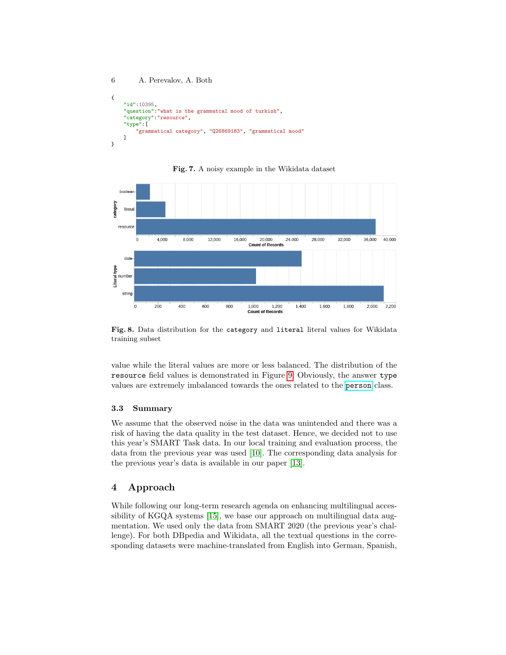```
6 A. Perevalov, A. Both
{
   "id":10395,
   "question":"what is the grammatcal mood of turkish",
    "category":"resource",
   "type":[
       "grammatical category", "Q26869183", "grammatical mood"
   ]
}
```
#### <span id="page-5-1"></span>Fig. 7. A noisy example in the Wikidata dataset



<span id="page-5-2"></span>Fig. 8. Data distribution for the category and literal literal values for Wikidata training subset

value while the literal values are more or less balanced. The distribution of the resource field values is demonstrated in Figure [9.](#page-6-0) Obviously, the answer type values are extremely imbalanced towards the ones related to the [person](http://www.wikidata.org/entity/person) class.

#### 3.3 Summary

We assume that the observed noise in the data was unintended and there was a risk of having the data quality in the test dataset. Hence, we decided not to use this year's SMART Task data. In our local training and evaluation process, the data from the previous year was used [\[10\]](#page-9-4). The corresponding data analysis for the previous year's data is available in our paper [\[13\]](#page-9-0).

## <span id="page-5-0"></span>4 Approach

While following our long-term research agenda on enhancing multilingual accessibility of KGQA systems [\[15\]](#page-9-8), we base our approach on multilingual data augmentation. We used only the data from SMART 2020 (the previous year's challenge). For both DBpedia and Wikidata, all the textual questions in the corresponding datasets were machine-translated from English into German, Spanish,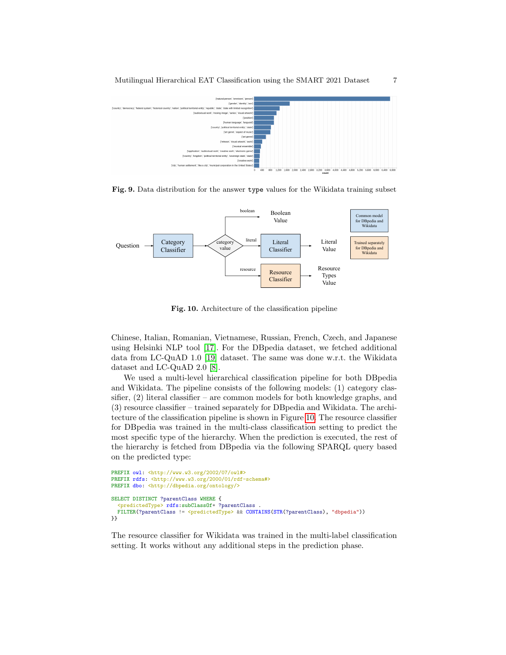

<span id="page-6-0"></span>Fig. 9. Data distribution for the answer type values for the Wikidata training subset



<span id="page-6-1"></span>Fig. 10. Architecture of the classification pipeline

Chinese, Italian, Romanian, Vietnamese, Russian, French, Czech, and Japanese using Helsinki NLP tool [\[17\]](#page-9-1). For the DBpedia dataset, we fetched additional data from LC-QuAD 1.0 [\[19\]](#page-9-9) dataset. The same was done w.r.t. the Wikidata dataset and LC-QuAD 2.0 [\[8\]](#page-8-3).

We used a multi-level hierarchical classification pipeline for both DBpedia and Wikidata. The pipeline consists of the following models: (1) category classifier,  $(2)$  literal classifier – are common models for both knowledge graphs, and (3) resource classifier – trained separately for DBpedia and Wikidata. The architecture of the classification pipeline is shown in Figure [10.](#page-6-1) The resource classifier for DBpedia was trained in the multi-class classification setting to predict the most specific type of the hierarchy. When the prediction is executed, the rest of the hierarchy is fetched from DBpedia via the following SPARQL query based on the predicted type:

```
PREFIX owl: <http://www.w3.org/2002/07/owl#>
PREFIX rdfs: <http://www.w3.org/2000/01/rdf-schema#>
PREFIX dbo: <http://dbpedia.org/ontology/>
SELECT DISTINCT ?parentClass WHERE {
  <sub>predictedType</sub> > rds:subClassOf* ?parentClass</sub>
 FILTER(?parentClass != <predictedType> && CONTAINS(STR(?parentClass), "dbpedia"))
}}
```
The resource classifier for Wikidata was trained in the multi-label classification setting. It works without any additional steps in the prediction phase.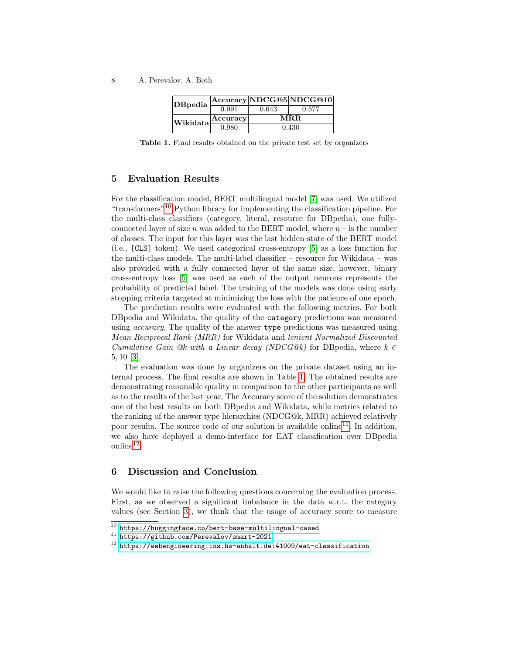| DBpedia  |          |       | $ {\rm Accuracy} {\rm NDCG@5} {\rm NDCG@10} $ |
|----------|----------|-------|-----------------------------------------------|
|          | 0.991    | 0.643 | 0.577                                         |
| Wikidata | Accuracy | MR.R. |                                               |
|          | 0.980    | 0.430 |                                               |

<span id="page-7-3"></span>Table 1. Final results obtained on the private test set by organizers

## <span id="page-7-0"></span>5 Evaluation Results

For the classification model, BERT multilingual model [\[7\]](#page-8-0) was used. We utilized "transformers"[10](#page-7-2) Python library for implementing the classification pipeline. For the multi-class classifiers (category, literal, resource for DBpedia), one fullyconnected layer of size n was added to the BERT model, where  $n - i$  is the number of classes. The input for this layer was the last hidden state of the BERT model (i.e., [CLS] token). We used categorical cross-entropy [\[5\]](#page-8-4) as a loss function for the multi-class models. The multi-label classifier – resource for Wikidata – was also provided with a fully connected layer of the same size, however, binary cross-entropy loss [\[5\]](#page-8-4) was used as each of the output neurons represents the probability of predicted label. The training of the models was done using early stopping criteria targeted at minimizing the loss with the patience of one epoch.

The prediction results were evaluated with the following metrics. For both DBpedia and Wikidata, the quality of the category predictions was measured using *accuracy*. The quality of the answer type predictions was measured using Mean Reciprocal Rank (MRR) for Wikidata and lenient Normalized Discounted Cumulative Gain @k with a Linear decay (NDCG@k) for DB pedia, where  $k \in$ 5, 10 [\[3\]](#page-8-5).

The evaluation was done by organizers on the private dataset using an internal process. The final results are shown in Table [1.](#page-7-3) The obtained results are demonstrating reasonable quality in comparison to the other participants as well as to the results of the last year. The Accuracy score of the solution demonstrates one of the best results on both DBpedia and Wikidata, while metrics related to the ranking of the answer type hierarchies (NDCG@k, MRR) achieved relatively poor results. The source code of our solution is available online<sup>[11](#page-7-4)</sup>. In addition, we also have deployed a demo-interface for EAT classification over DBpedia  $\text{online}^{12}$  $\text{online}^{12}$  $\text{online}^{12}$ .

## <span id="page-7-1"></span>6 Discussion and Conclusion

We would like to raise the following questions concerning the evaluation process. First, as we observed a significant imbalance in the data w.r.t. the category values (see Section [3\)](#page-2-0), we think that the usage of accuracy score to measure

<span id="page-7-2"></span> $^{10}$ <https://huggingface.co/bert-base-multilingual-cased>

<span id="page-7-4"></span><sup>11</sup> <https://github.com/Perevalov/smart-2021>

<span id="page-7-5"></span><sup>12</sup> <https://webengineering.ins.hs-anhalt.de:41009/eat-classification>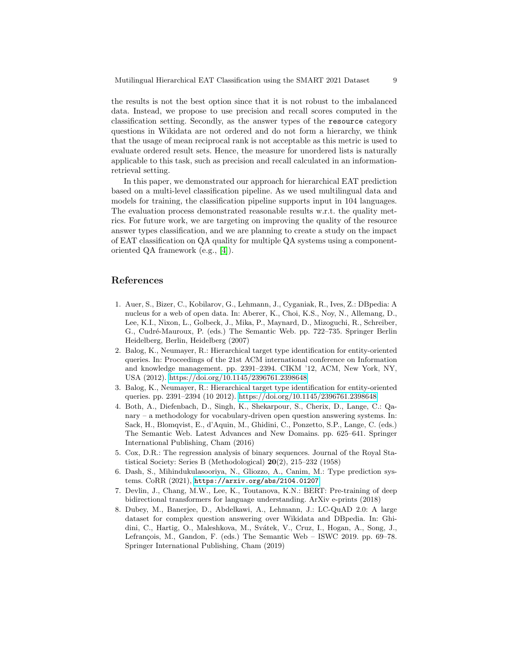the results is not the best option since that it is not robust to the imbalanced data. Instead, we propose to use precision and recall scores computed in the classification setting. Secondly, as the answer types of the resource category questions in Wikidata are not ordered and do not form a hierarchy, we think that the usage of mean reciprocal rank is not acceptable as this metric is used to evaluate ordered result sets. Hence, the measure for unordered lists is naturally applicable to this task, such as precision and recall calculated in an informationretrieval setting.

In this paper, we demonstrated our approach for hierarchical EAT prediction based on a multi-level classification pipeline. As we used multilingual data and models for training, the classification pipeline supports input in 104 languages. The evaluation process demonstrated reasonable results w.r.t. the quality metrics. For future work, we are targeting on improving the quality of the resource answer types classification, and we are planning to create a study on the impact of EAT classification on QA quality for multiple QA systems using a componentoriented QA framework (e.g., [\[4\]](#page-8-6)).

## References

- 1. Auer, S., Bizer, C., Kobilarov, G., Lehmann, J., Cyganiak, R., Ives, Z.: DBpedia: A nucleus for a web of open data. In: Aberer, K., Choi, K.S., Noy, N., Allemang, D., Lee, K.I., Nixon, L., Golbeck, J., Mika, P., Maynard, D., Mizoguchi, R., Schreiber, G., Cudré-Mauroux, P. (eds.) The Semantic Web. pp. 722–735. Springer Berlin Heidelberg, Berlin, Heidelberg (2007)
- <span id="page-8-1"></span>2. Balog, K., Neumayer, R.: Hierarchical target type identification for entity-oriented queries. In: Proceedings of the 21st ACM international conference on Information and knowledge management. pp. 2391–2394. CIKM '12, ACM, New York, NY, USA (2012).<https://doi.org/10.1145/2396761.2398648>
- <span id="page-8-5"></span>3. Balog, K., Neumayer, R.: Hierarchical target type identification for entity-oriented queries. pp. 2391–2394 (10 2012).<https://doi.org/10.1145/2396761.2398648>
- <span id="page-8-6"></span>4. Both, A., Diefenbach, D., Singh, K., Shekarpour, S., Cherix, D., Lange, C.: Qanary – a methodology for vocabulary-driven open question answering systems. In: Sack, H., Blomqvist, E., d'Aquin, M., Ghidini, C., Ponzetto, S.P., Lange, C. (eds.) The Semantic Web. Latest Advances and New Domains. pp. 625–641. Springer International Publishing, Cham (2016)
- <span id="page-8-4"></span>5. Cox, D.R.: The regression analysis of binary sequences. Journal of the Royal Statistical Society: Series B (Methodological) 20(2), 215–232 (1958)
- <span id="page-8-2"></span>6. Dash, S., Mihindukulasooriya, N., Gliozzo, A., Canim, M.: Type prediction systems. CoRR (2021), <https://arxiv.org/abs/2104.01207>
- <span id="page-8-0"></span>7. Devlin, J., Chang, M.W., Lee, K., Toutanova, K.N.: BERT: Pre-training of deep bidirectional transformers for language understanding. ArXiv e-prints (2018)
- <span id="page-8-3"></span>8. Dubey, M., Banerjee, D., Abdelkawi, A., Lehmann, J.: LC-QuAD 2.0: A large dataset for complex question answering over Wikidata and DBpedia. In: Ghidini, C., Hartig, O., Maleshkova, M., Svátek, V., Cruz, I., Hogan, A., Song, J., Lefrançois, M., Gandon, F. (eds.) The Semantic Web  $-$  ISWC 2019. pp. 69–78. Springer International Publishing, Cham (2019)